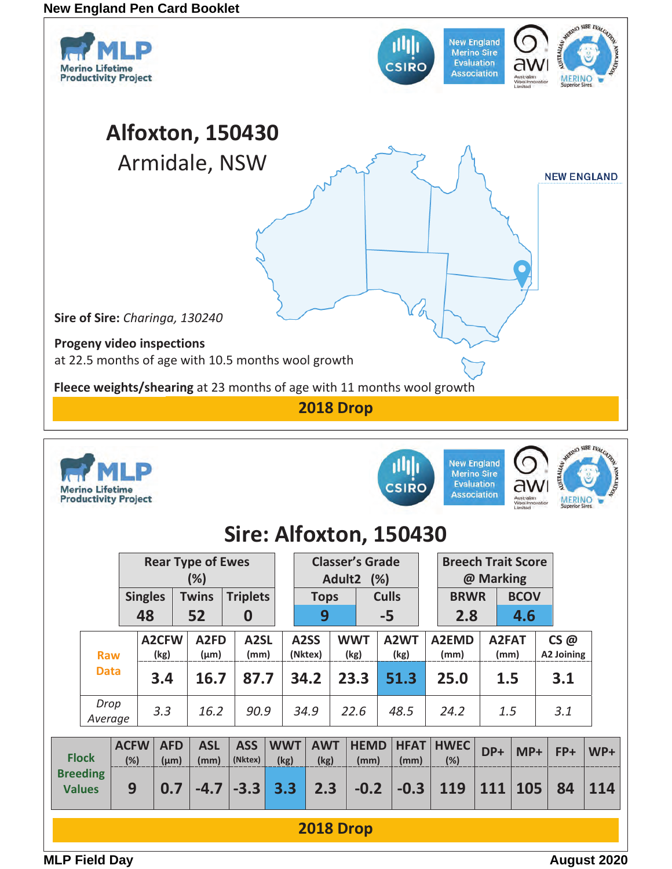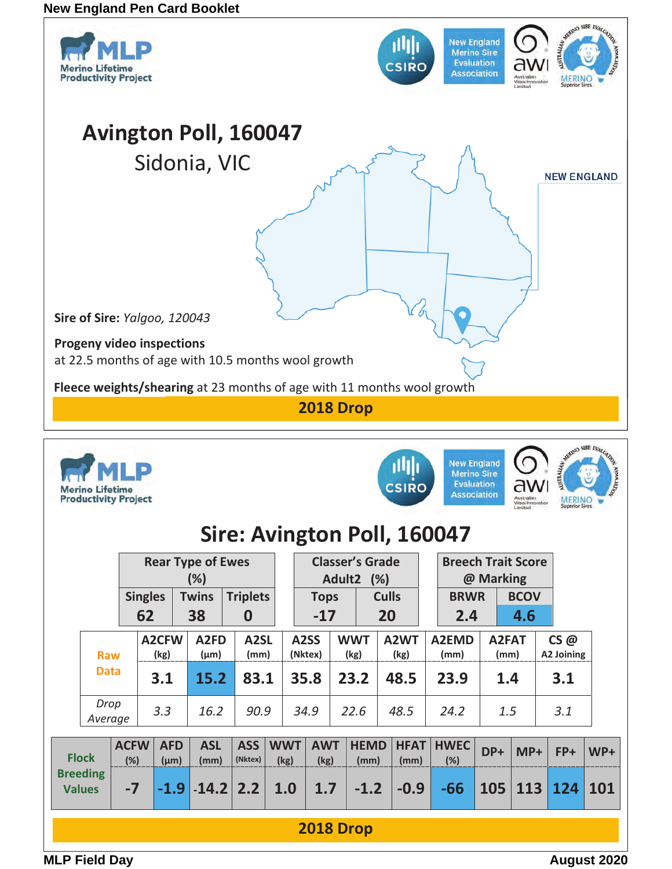

| <b>Rear Type of Ewes</b> |                                  |      |                                               |                 |                                |                       |                    |                 | <b>Classer's Grade</b> |                    |                     |                     |  | <b>Breech Trait Score</b> |             |               |       |                   |       |
|--------------------------|----------------------------------|------|-----------------------------------------------|-----------------|--------------------------------|-----------------------|--------------------|-----------------|------------------------|--------------------|---------------------|---------------------|--|---------------------------|-------------|---------------|-------|-------------------|-------|
| (%)                      |                                  |      |                                               |                 |                                |                       |                    |                 | Adult2 (%)             |                    |                     |                     |  | @ Marking                 |             |               |       |                   |       |
| <b>Singles</b>           |                                  |      | <b>Twins</b>                                  | <b>Triplets</b> |                                |                       | <b>Tops</b>        |                 |                        | <b>Culls</b>       |                     | <b>BRWR</b>         |  |                           | <b>BCOV</b> |               |       |                   |       |
|                          |                                  |      | 62                                            |                 | 38                             | 0                     |                    |                 | $-17$                  |                    |                     | 20                  |  | 2.4                       | 4.6         |               |       |                   |       |
|                          | <b>Raw</b><br><b>Data</b>        |      | A2CFW<br>(kg)                                 |                 | A <sub>2</sub> FD<br>$(\mu m)$ | A2SL<br>(mm)          |                    | A2SS<br>(Nktex) |                        | <b>WWT</b><br>(kg) |                     | A2WT<br>(kg)        |  | A2EMD<br>(mm)             |             | A2FAT<br>(mm) |       | CS@<br>A2 Joining |       |
|                          |                                  |      | 3.1                                           |                 | 15.2                           | 83.1                  |                    | 35.8            |                        | 23.2               |                     | 48.5                |  | 23.9                      |             | 1.4           |       | 3.1               |       |
|                          | Drop<br>Average                  |      | 3.3                                           |                 | 16.2                           | 90.9                  |                    | 34.9            | 22.6                   |                    |                     | 48.5                |  | 24.2                      | 1.5         |               |       | 3.1               |       |
|                          | <b>Flock</b>                     |      | <b>ACFW</b><br><b>AFD</b><br>(%)<br>$(\mu m)$ |                 | <b>ASL</b><br>(mm)             | <b>ASS</b><br>(Nktex) | <b>WWT</b><br>(kg) |                 | <b>AWT</b><br>(kg)     |                    | <b>HEMD</b><br>(mm) | <b>HFAT</b><br>(mm) |  | <b>HWEC</b><br>(%)        | DP+         |               | $MP+$ | FP+               | $WP+$ |
|                          | <b>Breeding</b><br><b>Values</b> | $-7$ |                                               | $-1.9$          |                                | $-14.2$ 2.2           | 1.0                |                 | 1.7                    |                    | $-1.2$              | $-0.9$              |  | $-66$                     | 105         |               | 113   | 124               | 101   |
|                          | <b>2018 Drop</b>                 |      |                                               |                 |                                |                       |                    |                 |                        |                    |                     |                     |  |                           |             |               |       |                   |       |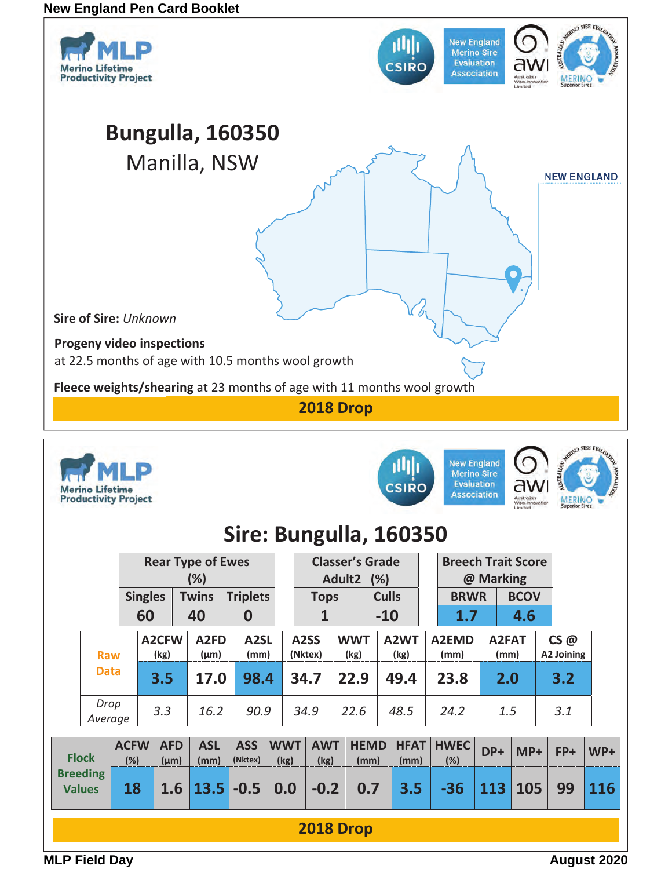

**2018 Drop**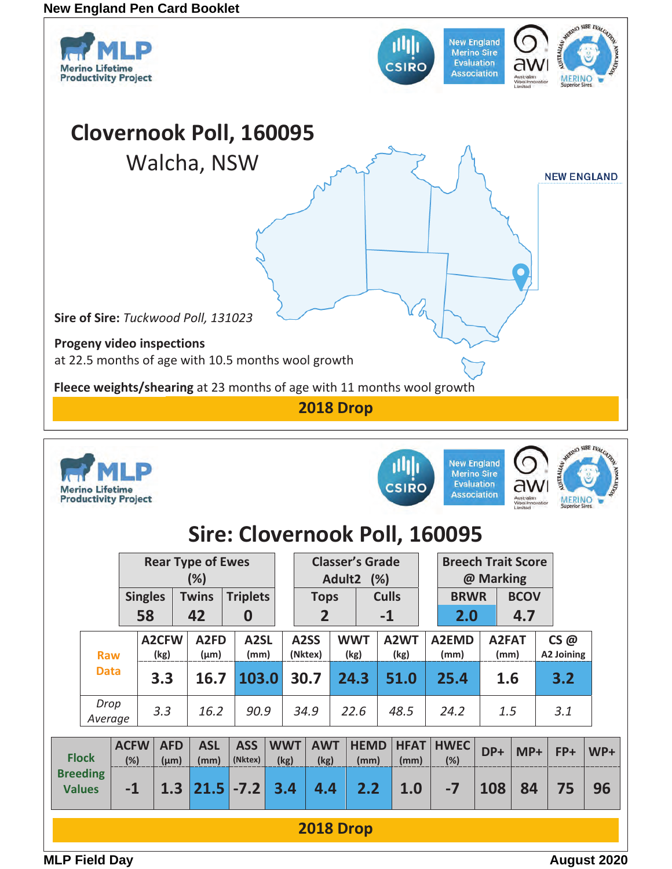

**2018 Drop**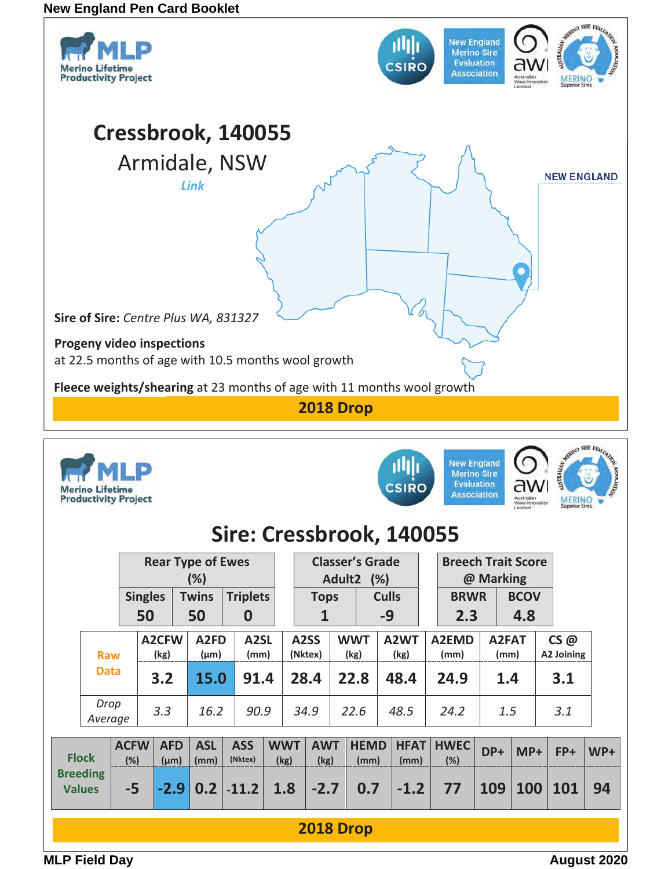

| <b>Flock</b>                     | <b>ACFW   AFD  </b><br>(%) | ${\rm (µm)}$ | (mm) | ASL ASS<br>(Nktex)                             | <b>I WWT I</b><br>(kg) | (kg)   | $\sim$ AWT HEMD HFAI HWEL DP+ MP+<br>(mm) | (mm)                 | $(\%)$ |     |             | $FP+$ | WP+ |
|----------------------------------|----------------------------|--------------|------|------------------------------------------------|------------------------|--------|-------------------------------------------|----------------------|--------|-----|-------------|-------|-----|
| <b>Breeding</b><br><b>Values</b> | $-5$                       |              |      | $\vert$ -2.9 $\vert$ 0.2 $\vert$ -11.2 $\vert$ | 1.8                    | $-2.7$ | 0.7                                       | $\vert$ -1.2 $\vert$ | 77     | 109 | $\vert$ 100 | 101   | 94  |
|                                  |                            |              |      |                                                |                        |        |                                           |                      |        |     |             |       |     |
|                                  |                            |              |      |                                                |                        |        |                                           |                      |        |     |             |       |     |

**2018 Drop**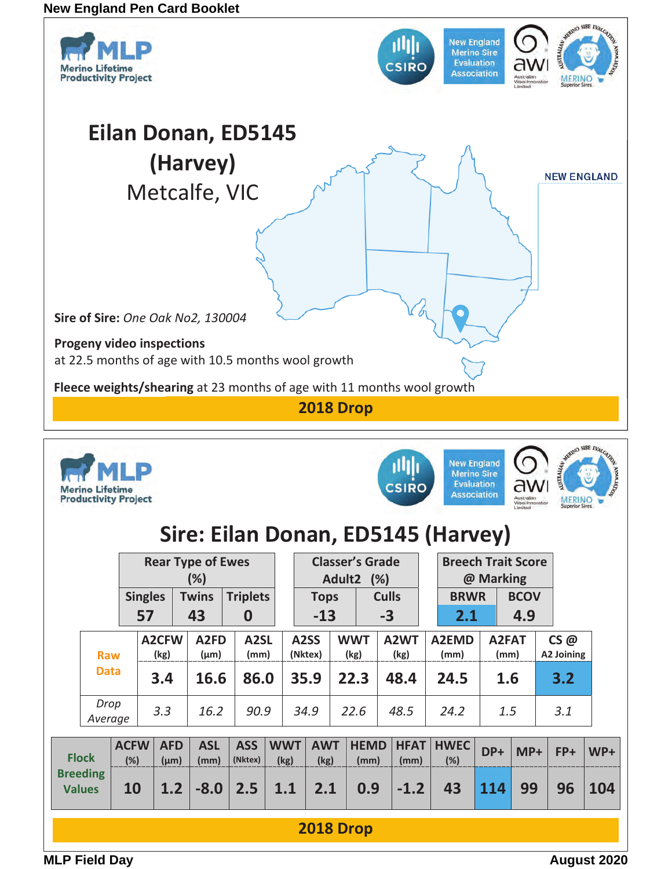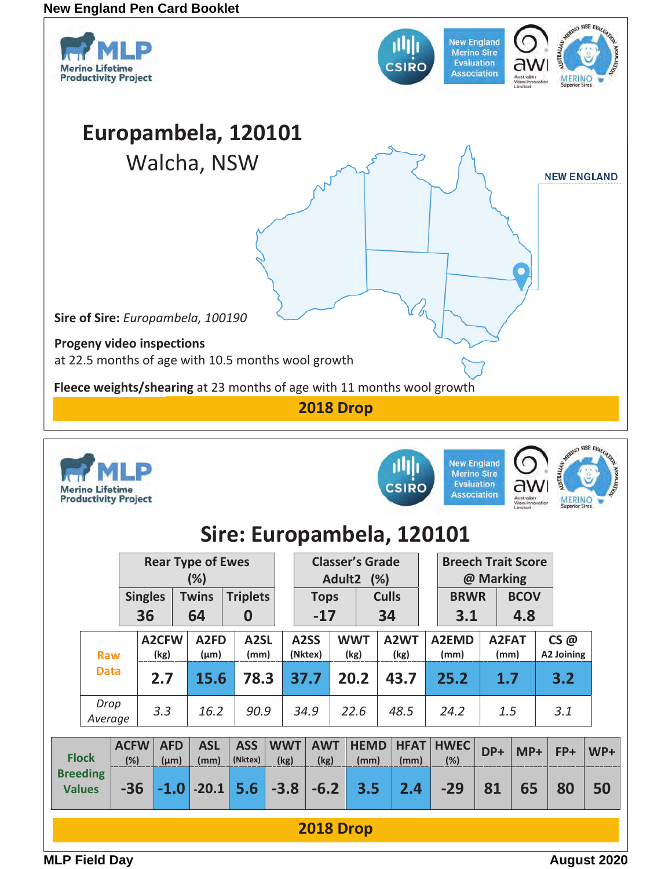

**2018 Drop** 

**-36 -1.0 -20.1 5.6 -3.8 -6.2 3.5 2.4 -29 81 65 80 50** 

**MLP Field Day August 2020**

**Values**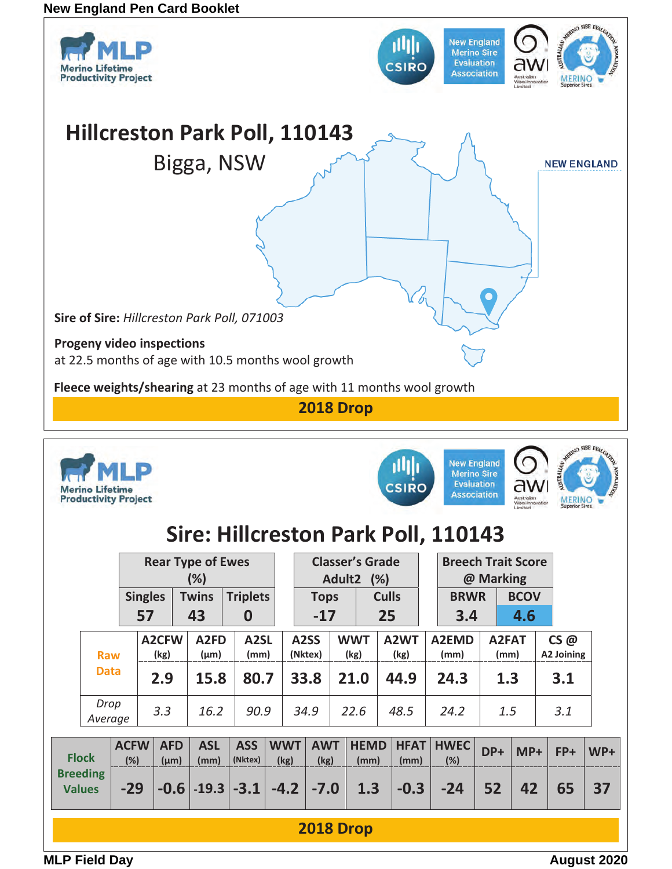

| Sire: Hillcreston Park Poll, 110143 |  |  |
|-------------------------------------|--|--|
|                                     |  |  |

**Association** 

|                                  | <b>Rear Type of Ewes</b><br>(%) |       |                                               |     |                               |                           |                    | <b>Classer's Grade</b><br>Adult2 (%) |                    |                     |                           |  | <b>Breech Trait Score</b><br>@ Marking |               |             |                   |     |       |
|----------------------------------|---------------------------------|-------|-----------------------------------------------|-----|-------------------------------|---------------------------|--------------------|--------------------------------------|--------------------|---------------------|---------------------------|--|----------------------------------------|---------------|-------------|-------------------|-----|-------|
|                                  | <b>Singles</b>                  |       |                                               |     | <b>Twins</b>                  | <b>Triplets</b>           |                    | <b>Tops</b>                          |                    |                     | <b>Culls</b>              |  | <b>BRWR</b>                            |               | <b>BCOV</b> |                   |     |       |
|                                  |                                 |       | 57                                            |     | 43                            | $\boldsymbol{0}$          |                    | $-17$                                |                    |                     | 25                        |  | 3.4                                    | 4.6           |             |                   |     |       |
|                                  | <b>Raw</b>                      |       | A2CFW<br>(kg)                                 |     | A <sub>2FD</sub><br>$(\mu m)$ | A <sub>2</sub> SL<br>(mm) |                    | A <sub>2</sub> SS<br>(Nktex)         | <b>WWT</b><br>(kg) |                     | A <sub>2</sub> WT<br>(kg) |  | A2EMD<br>(mm)                          | A2FAT<br>(mm) |             | CS@<br>A2 Joining |     |       |
|                                  | <b>Data</b>                     |       | 2.9                                           |     | 15.8                          | 80.7                      |                    | 33.8                                 |                    | 21.0                | 44.9                      |  | 24.3                                   |               | 1.3         |                   | 3.1 |       |
|                                  | Drop<br>Average                 |       |                                               | 3.3 | 16.2                          | 90.9                      |                    | 34.9                                 |                    | 22.6                | 48.5                      |  | 24.2                                   |               | 1.5         |                   | 3.1 |       |
|                                  | <b>Flock</b>                    |       | <b>ACFW</b><br><b>AFD</b><br>(%)<br>$(\mu m)$ |     | <b>ASL</b><br>(mm)            | <b>ASS</b><br>(Nktex)     | <b>WWT</b><br>(kg) | <b>AWT</b><br>(kg)                   |                    | <b>HEMD</b><br>(mm) | <b>HFAT</b><br>(mm)       |  | <b>HWEC</b><br>(%)                     | DP+           | $MP+$       |                   | FP+ | $WP+$ |
| <b>Breeding</b><br><b>Values</b> |                                 | $-29$ |                                               |     |                               | $-0.6$ $-19.3$ $-3.1$     | $-4.2$             | $-7.0$                               |                    | 1.3                 | $-0.3$                    |  | $-24$                                  | 52            | 42          |                   | 65  | 37    |
|                                  |                                 |       |                                               |     |                               |                           |                    | <b>2018 Drop</b>                     |                    |                     |                           |  |                                        |               |             |                   |     |       |

**MLP Field Day August 2020** 

**Merino Lifetime** 

**Productivity Project**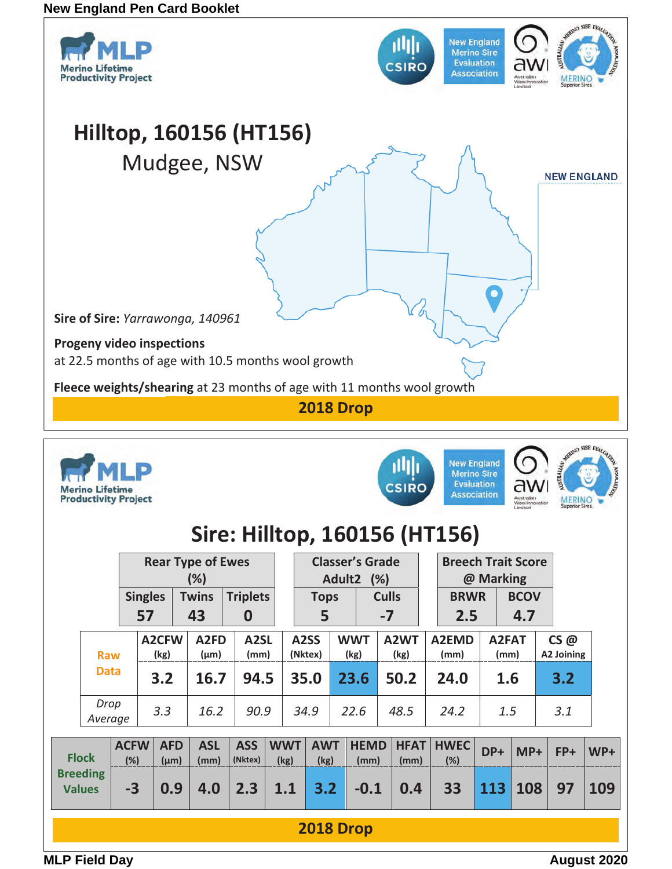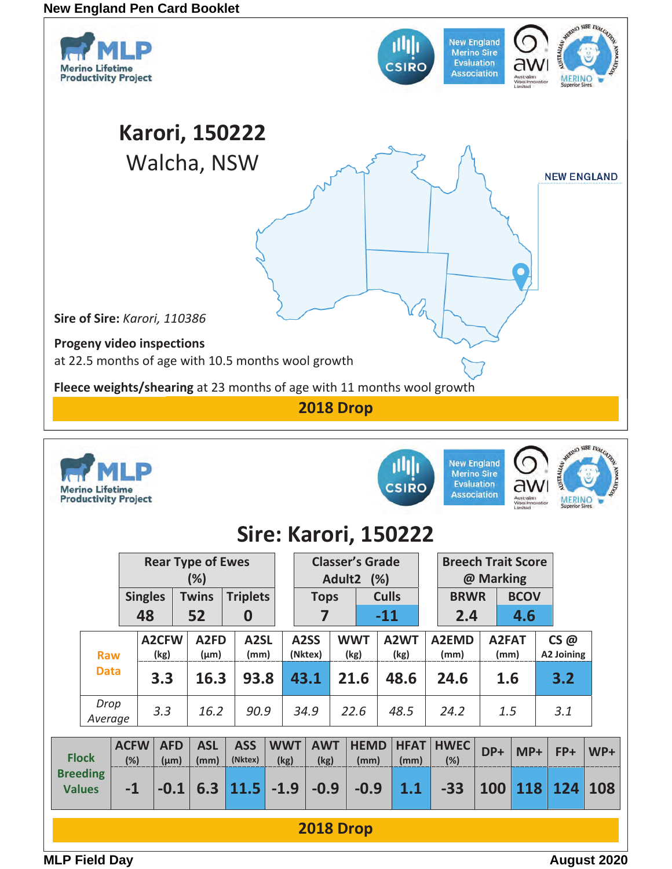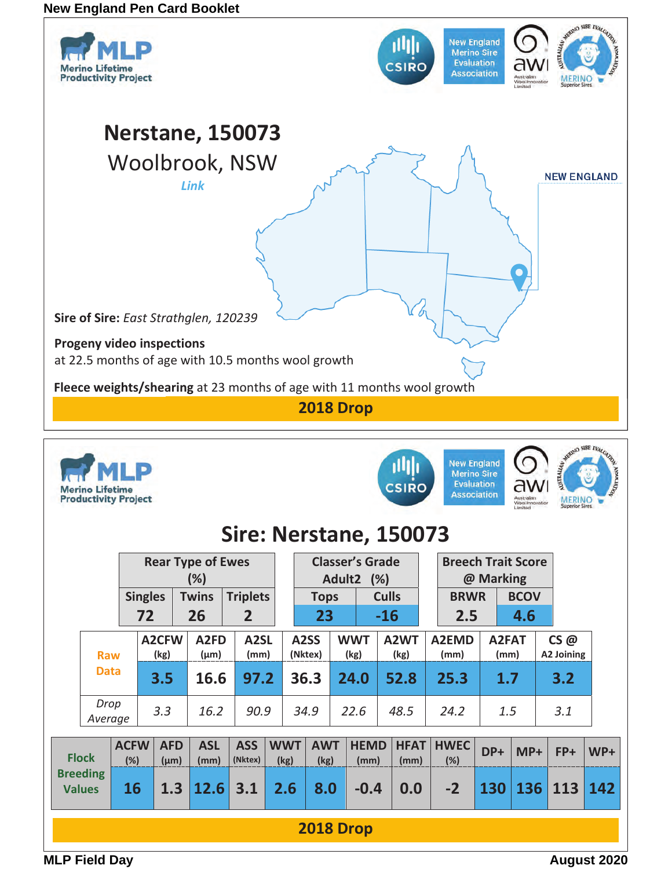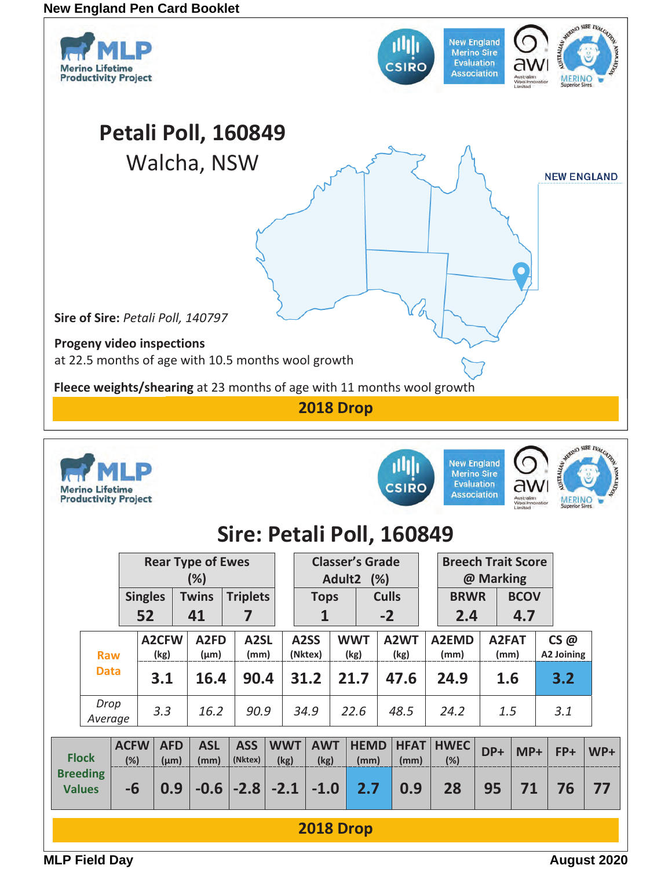

**2018 Drop**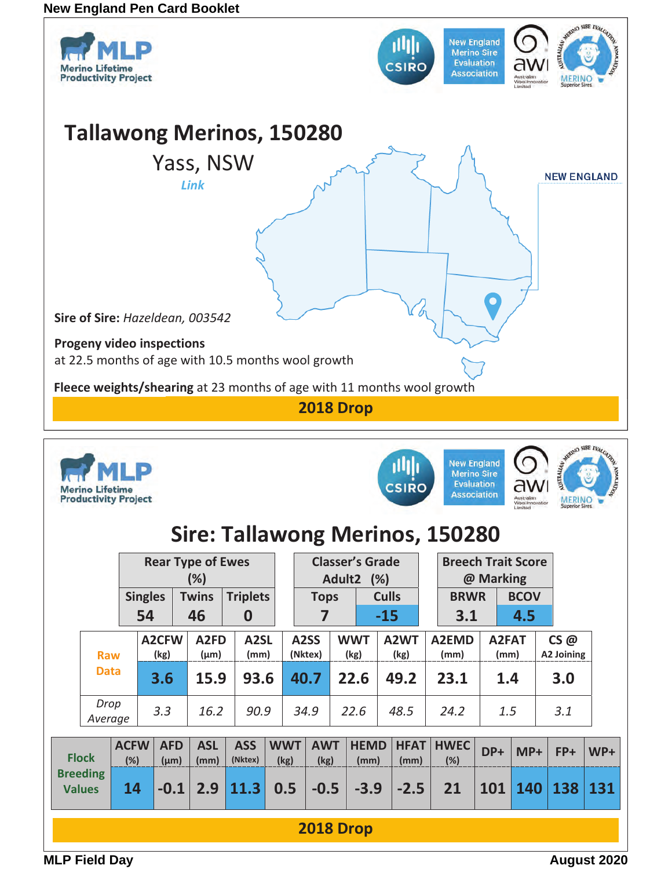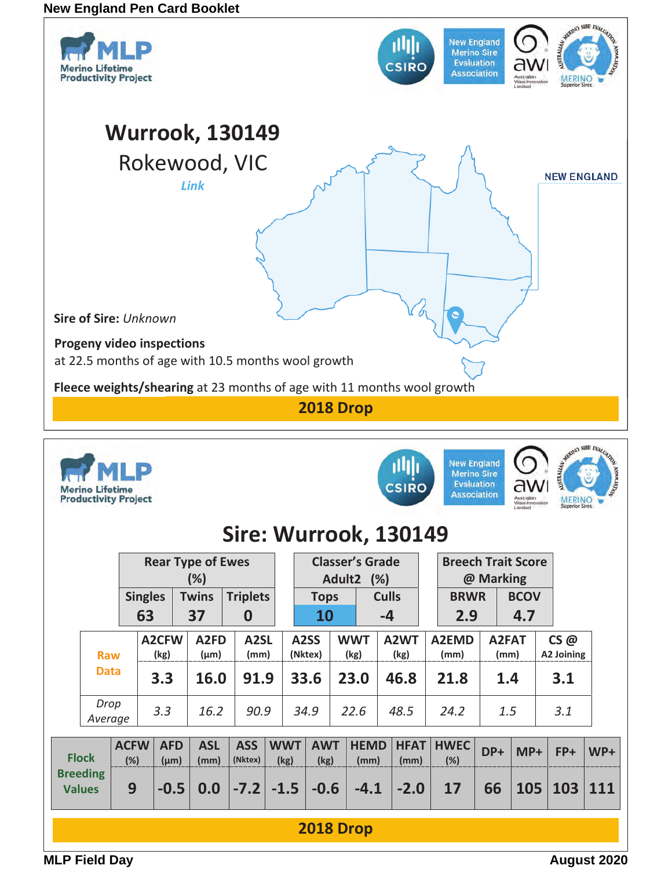